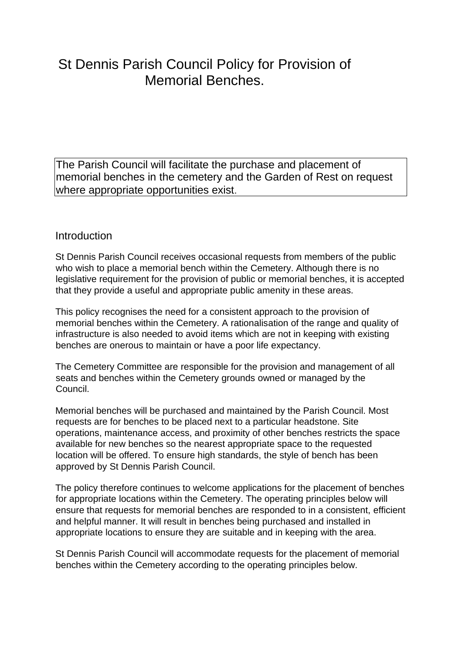# St Dennis Parish Council Policy for Provision of Memorial Benches.

The Parish Council will facilitate the purchase and placement of memorial benches in the cemetery and the Garden of Rest on request where appropriate opportunities exist.

### Introduction

St Dennis Parish Council receives occasional requests from members of the public who wish to place a memorial bench within the Cemetery. Although there is no legislative requirement for the provision of public or memorial benches, it is accepted that they provide a useful and appropriate public amenity in these areas.

This policy recognises the need for a consistent approach to the provision of memorial benches within the Cemetery. A rationalisation of the range and quality of infrastructure is also needed to avoid items which are not in keeping with existing benches are onerous to maintain or have a poor life expectancy.

The Cemetery Committee are responsible for the provision and management of all seats and benches within the Cemetery grounds owned or managed by the Council.

Memorial benches will be purchased and maintained by the Parish Council. Most requests are for benches to be placed next to a particular headstone. Site operations, maintenance access, and proximity of other benches restricts the space available for new benches so the nearest appropriate space to the requested location will be offered. To ensure high standards, the style of bench has been approved by St Dennis Parish Council.

The policy therefore continues to welcome applications for the placement of benches for appropriate locations within the Cemetery. The operating principles below will ensure that requests for memorial benches are responded to in a consistent, efficient and helpful manner. It will result in benches being purchased and installed in appropriate locations to ensure they are suitable and in keeping with the area.

St Dennis Parish Council will accommodate requests for the placement of memorial benches within the Cemetery according to the operating principles below.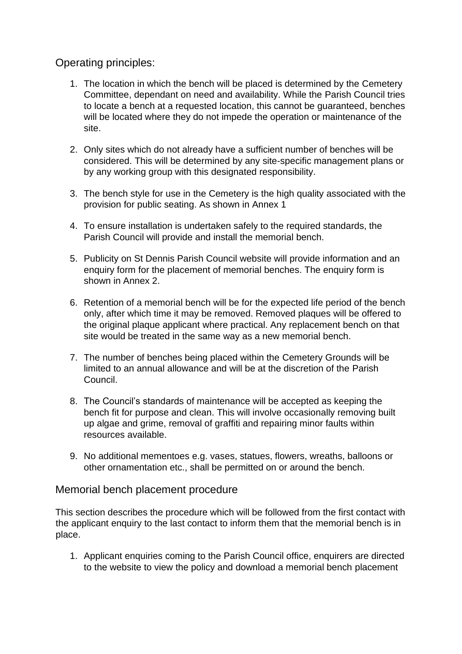## Operating principles:

- 1. The location in which the bench will be placed is determined by the Cemetery Committee, dependant on need and availability. While the Parish Council tries to locate a bench at a requested location, this cannot be guaranteed, benches will be located where they do not impede the operation or maintenance of the site.
- 2. Only sites which do not already have a sufficient number of benches will be considered. This will be determined by any site-specific management plans or by any working group with this designated responsibility.
- 3. The bench style for use in the Cemetery is the high quality associated with the provision for public seating. As shown in Annex 1
- 4. To ensure installation is undertaken safely to the required standards, the Parish Council will provide and install the memorial bench.
- 5. Publicity on St Dennis Parish Council website will provide information and an enquiry form for the placement of memorial benches. The enquiry form is shown in Annex 2.
- 6. Retention of a memorial bench will be for the expected life period of the bench only, after which time it may be removed. Removed plaques will be offered to the original plaque applicant where practical. Any replacement bench on that site would be treated in the same way as a new memorial bench.
- 7. The number of benches being placed within the Cemetery Grounds will be limited to an annual allowance and will be at the discretion of the Parish Council.
- 8. The Council's standards of maintenance will be accepted as keeping the bench fit for purpose and clean. This will involve occasionally removing built up algae and grime, removal of graffiti and repairing minor faults within resources available.
- 9. No additional mementoes e.g. vases, statues, flowers, wreaths, balloons or other ornamentation etc., shall be permitted on or around the bench.

#### Memorial bench placement procedure

This section describes the procedure which will be followed from the first contact with the applicant enquiry to the last contact to inform them that the memorial bench is in place.

1. Applicant enquiries coming to the Parish Council office, enquirers are directed to the website to view the policy and download a memorial bench placement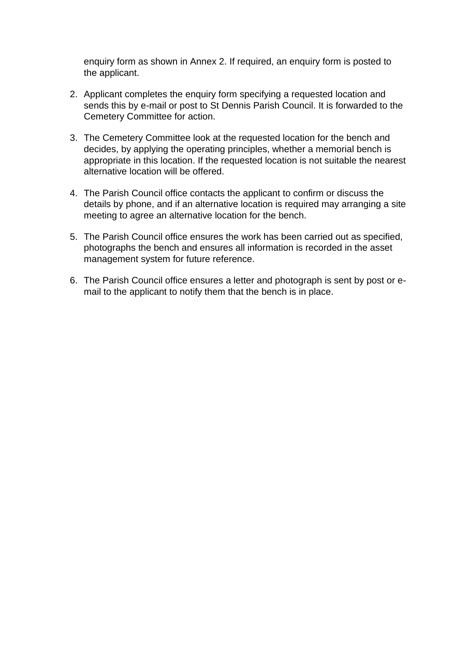enquiry form as shown in Annex 2. If required, an enquiry form is posted to the applicant.

- 2. Applicant completes the enquiry form specifying a requested location and sends this by e-mail or post to St Dennis Parish Council. It is forwarded to the Cemetery Committee for action.
- 3. The Cemetery Committee look at the requested location for the bench and decides, by applying the operating principles, whether a memorial bench is appropriate in this location. If the requested location is not suitable the nearest alternative location will be offered.
- 4. The Parish Council office contacts the applicant to confirm or discuss the details by phone, and if an alternative location is required may arranging a site meeting to agree an alternative location for the bench.
- 5. The Parish Council office ensures the work has been carried out as specified, photographs the bench and ensures all information is recorded in the asset management system for future reference.
- 6. The Parish Council office ensures a letter and photograph is sent by post or email to the applicant to notify them that the bench is in place.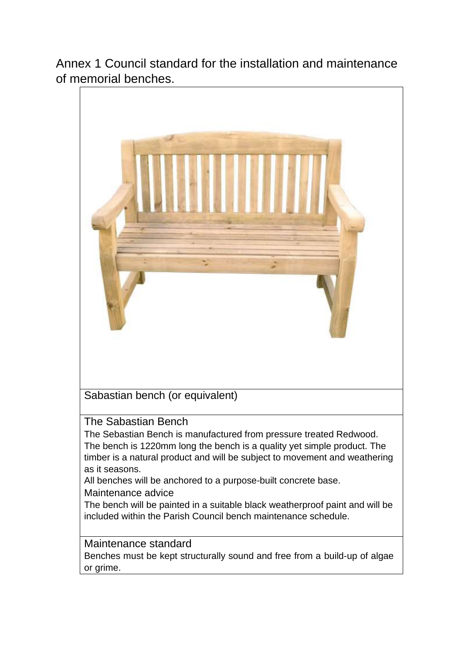Annex 1 Council standard for the installation and maintenance of memorial benches.